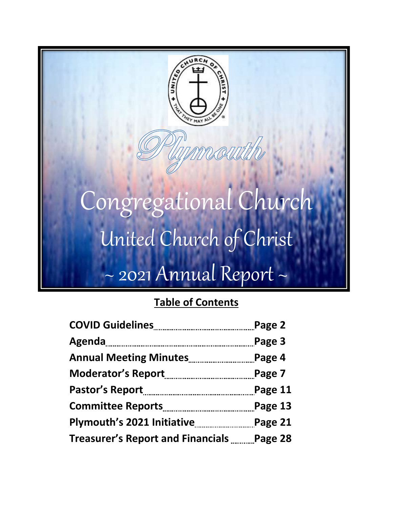

## **Table of Contents**

|                                            | Page 2  |
|--------------------------------------------|---------|
|                                            | Page 3  |
|                                            | Page 4  |
|                                            | Page 7  |
|                                            | Page 11 |
|                                            | Page 13 |
|                                            | Page 21 |
| Treasurer's Report and Financials  Page 28 |         |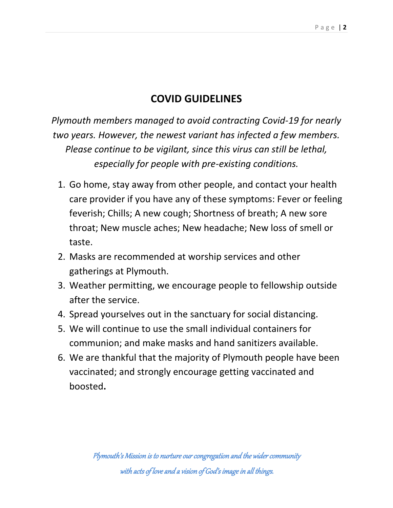## **COVID GUIDELINES**

*Plymouth members managed to avoid contracting Covid-19 for nearly two years. However, the newest variant has infected a few members. Please continue to be vigilant, since this virus can still be lethal, especially for people with pre-existing conditions.*

- 1. Go home, stay away from other people, and contact your health care provider if you have any of these symptoms: Fever or feeling feverish; Chills; A new cough; Shortness of breath; A new sore throat; New muscle aches; New headache; New loss of smell or taste.
- 2. Masks are recommended at worship services and other gatherings at Plymouth.
- 3. Weather permitting, we encourage people to fellowship outside after the service.
- 4. Spread yourselves out in the sanctuary for social distancing.
- 5. We will continue to use the small individual containers for communion; and make masks and hand sanitizers available.
- 6. We are thankful that the majority of Plymouth people have been vaccinated; and strongly encourage getting vaccinated and boosted**.**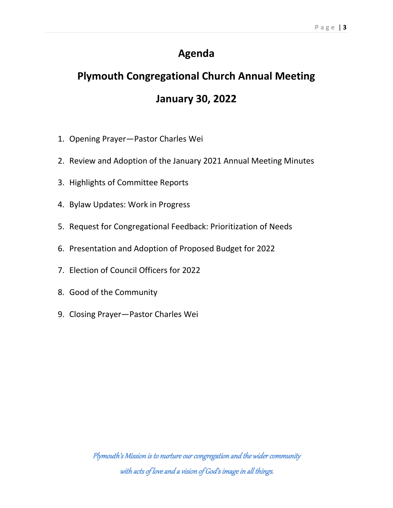### **Agenda**

# **Plymouth Congregational Church Annual Meeting January 30, 2022**

- 1. Opening Prayer—Pastor Charles Wei
- 2. Review and Adoption of the January 2021 Annual Meeting Minutes
- 3. Highlights of Committee Reports
- 4. Bylaw Updates: Work in Progress
- 5. Request for Congregational Feedback: Prioritization of Needs
- 6. Presentation and Adoption of Proposed Budget for 2022
- 7. Election of Council Officers for 2022
- 8. Good of the Community
- 9. Closing Prayer—Pastor Charles Wei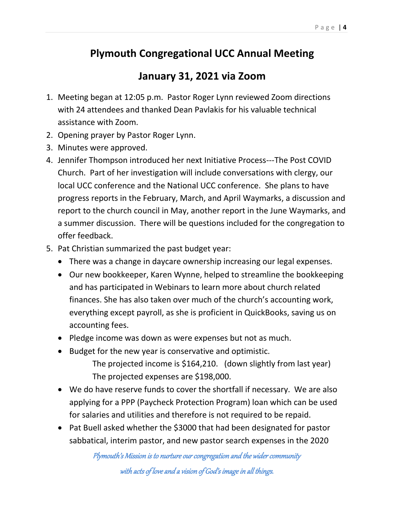#### P a g e | **4**

## **Plymouth Congregational UCC Annual Meeting**

### **January 31, 2021 via Zoom**

- 1. Meeting began at 12:05 p.m. Pastor Roger Lynn reviewed Zoom directions with 24 attendees and thanked Dean Pavlakis for his valuable technical assistance with Zoom.
- 2. Opening prayer by Pastor Roger Lynn.
- 3. Minutes were approved.
- 4. Jennifer Thompson introduced her next Initiative Process---The Post COVID Church. Part of her investigation will include conversations with clergy, our local UCC conference and the National UCC conference. She plans to have progress reports in the February, March, and April Waymarks, a discussion and report to the church council in May, another report in the June Waymarks, and a summer discussion. There will be questions included for the congregation to offer feedback.
- 5. Pat Christian summarized the past budget year:
	- There was a change in daycare ownership increasing our legal expenses.
	- Our new bookkeeper, Karen Wynne, helped to streamline the bookkeeping and has participated in Webinars to learn more about church related finances. She has also taken over much of the church's accounting work, everything except payroll, as she is proficient in QuickBooks, saving us on accounting fees.
	- Pledge income was down as were expenses but not as much.
	- Budget for the new year is conservative and optimistic. The projected income is \$164,210. (down slightly from last year) The projected expenses are \$198,000.
	- We do have reserve funds to cover the shortfall if necessary. We are also applying for a PPP (Paycheck Protection Program) loan which can be used for salaries and utilities and therefore is not required to be repaid.
	- Pat Buell asked whether the \$3000 that had been designated for pastor sabbatical, interim pastor, and new pastor search expenses in the 2020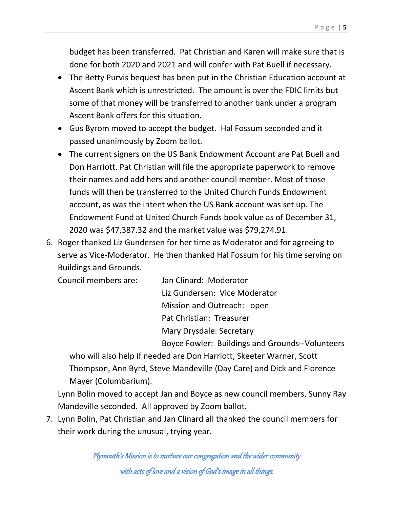budget has been transferred. Pat Christian and Karen will make sure that is done for both 2020 and 2021 and will confer with Pat Buell if necessary.

- The Betty Purvis bequest has been put in the Christian Education account at Ascent Bank which is unrestricted. The amount is over the FDIC limits but some of that money will be transferred to another bank under a program Ascent Bank offers for this situation.
- Gus Byrom moved to accept the budget. Hal Fossum seconded and it passed unanimously by Zoom ballot.
- The current signers on the US Bank Endowment Account are Pat Buell and Don Harriott. Pat Christian will file the appropriate paperwork to remove their names and add hers and another council member. Most of those funds will then be transferred to the United Church Funds Endowment account, as was the intent when the US Bank account was set up. The Endowment Fund at United Church Funds book value as of December 31, 2020 was \$47,387.32 and the market value was \$79,274.91.
- 6. Roger thanked Liz Gundersen for her time as Moderator and for agreeing to serve as Vice-Moderator. He then thanked Hal Fossum for his time serving on Buildings and Grounds.

| Council members are: | Jan Clinard: Moderator                          |
|----------------------|-------------------------------------------------|
|                      | Liz Gundersen: Vice Moderator                   |
|                      | Mission and Outreach: open                      |
|                      | Pat Christian: Treasurer                        |
|                      | Mary Drysdale: Secretary                        |
|                      | Boyce Fowler: Buildings and Grounds--Volunteers |

who will also help if needed are Don Harriott, Skeeter Warner, Scott Thompson, Ann Byrd, Steve Mandeville (Day Care) and Dick and Florence Mayer (Columbarium).

Lynn Bolin moved to accept Jan and Boyce as new council members, Sunny Ray Mandeville seconded. All approved by Zoom ballot.

7. Lynn Bolin, Pat Christian and Jan Clinard all thanked the council members for their work during the unusual, trying year.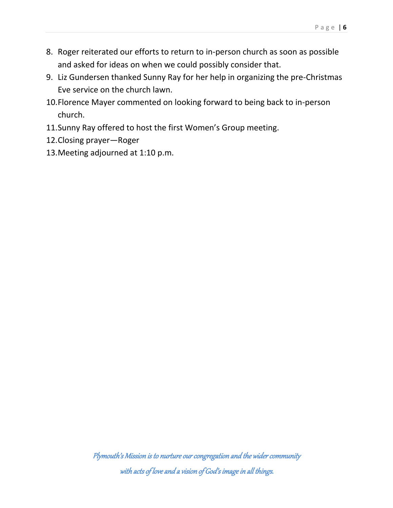- 8. Roger reiterated our efforts to return to in-person church as soon as possible and asked for ideas on when we could possibly consider that.
- 9. Liz Gundersen thanked Sunny Ray for her help in organizing the pre-Christmas Eve service on the church lawn.
- 10.Florence Mayer commented on looking forward to being back to in-person church.
- 11.Sunny Ray offered to host the first Women's Group meeting.
- 12.Closing prayer—Roger
- 13.Meeting adjourned at 1:10 p.m.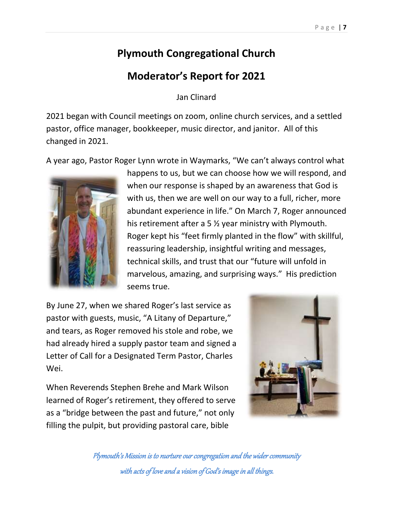#### P a g e | **7**

### **Plymouth Congregational Church**

### **Moderator's Report for 2021**

Jan Clinard

2021 began with Council meetings on zoom, online church services, and a settled pastor, office manager, bookkeeper, music director, and janitor. All of this changed in 2021.

A year ago, Pastor Roger Lynn wrote in Waymarks, "We can't always control what



happens to us, but we can choose how we will respond, and when our response is shaped by an awareness that God is with us, then we are well on our way to a full, richer, more abundant experience in life." On March 7, Roger announced his retirement after a 5 ½ year ministry with Plymouth. Roger kept his "feet firmly planted in the flow" with skillful, reassuring leadership, insightful writing and messages, technical skills, and trust that our "future will unfold in marvelous, amazing, and surprising ways." His prediction seems true.

By June 27, when we shared Roger's last service as pastor with guests, music, "A Litany of Departure," and tears, as Roger removed his stole and robe, we had already hired a supply pastor team and signed a Letter of Call for a Designated Term Pastor, Charles Wei.

When Reverends Stephen Brehe and Mark Wilson learned of Roger's retirement, they offered to serve as a "bridge between the past and future," not only filling the pulpit, but providing pastoral care, bible

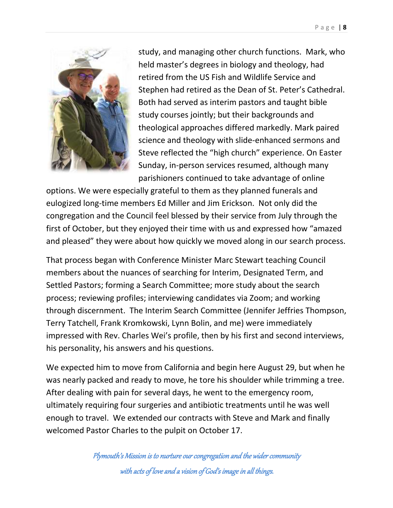

study, and managing other church functions. Mark, who held master's degrees in biology and theology, had retired from the US Fish and Wildlife Service and Stephen had retired as the Dean of St. Peter's Cathedral. Both had served as interim pastors and taught bible study courses jointly; but their backgrounds and theological approaches differed markedly. Mark paired science and theology with slide-enhanced sermons and Steve reflected the "high church" experience. On Easter Sunday, in-person services resumed, although many parishioners continued to take advantage of online

options. We were especially grateful to them as they planned funerals and eulogized long-time members Ed Miller and Jim Erickson. Not only did the congregation and the Council feel blessed by their service from July through the first of October, but they enjoyed their time with us and expressed how "amazed and pleased" they were about how quickly we moved along in our search process.

That process began with Conference Minister Marc Stewart teaching Council members about the nuances of searching for Interim, Designated Term, and Settled Pastors; forming a Search Committee; more study about the search process; reviewing profiles; interviewing candidates via Zoom; and working through discernment. The Interim Search Committee (Jennifer Jeffries Thompson, Terry Tatchell, Frank Kromkowski, Lynn Bolin, and me) were immediately impressed with Rev. Charles Wei's profile, then by his first and second interviews, his personality, his answers and his questions.

We expected him to move from California and begin here August 29, but when he was nearly packed and ready to move, he tore his shoulder while trimming a tree. After dealing with pain for several days, he went to the emergency room, ultimately requiring four surgeries and antibiotic treatments until he was well enough to travel. We extended our contracts with Steve and Mark and finally welcomed Pastor Charles to the pulpit on October 17.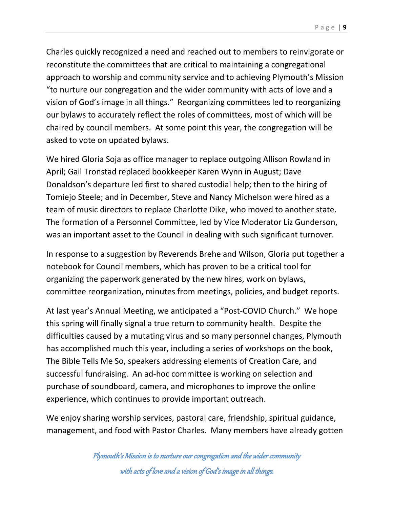Charles quickly recognized a need and reached out to members to reinvigorate or reconstitute the committees that are critical to maintaining a congregational approach to worship and community service and to achieving Plymouth's Mission "to nurture our congregation and the wider community with acts of love and a vision of God's image in all things." Reorganizing committees led to reorganizing our bylaws to accurately reflect the roles of committees, most of which will be chaired by council members. At some point this year, the congregation will be asked to vote on updated bylaws.

We hired Gloria Soja as office manager to replace outgoing Allison Rowland in April; Gail Tronstad replaced bookkeeper Karen Wynn in August; Dave Donaldson's departure led first to shared custodial help; then to the hiring of Tomiejo Steele; and in December, Steve and Nancy Michelson were hired as a team of music directors to replace Charlotte Dike, who moved to another state. The formation of a Personnel Committee, led by Vice Moderator Liz Gunderson, was an important asset to the Council in dealing with such significant turnover.

In response to a suggestion by Reverends Brehe and Wilson, Gloria put together a notebook for Council members, which has proven to be a critical tool for organizing the paperwork generated by the new hires, work on bylaws, committee reorganization, minutes from meetings, policies, and budget reports.

At last year's Annual Meeting, we anticipated a "Post-COVID Church." We hope this spring will finally signal a true return to community health. Despite the difficulties caused by a mutating virus and so many personnel changes, Plymouth has accomplished much this year, including a series of workshops on the book, The Bible Tells Me So, speakers addressing elements of Creation Care, and successful fundraising. An ad-hoc committee is working on selection and purchase of soundboard, camera, and microphones to improve the online experience, which continues to provide important outreach.

We enjoy sharing worship services, pastoral care, friendship, spiritual guidance, management, and food with Pastor Charles. Many members have already gotten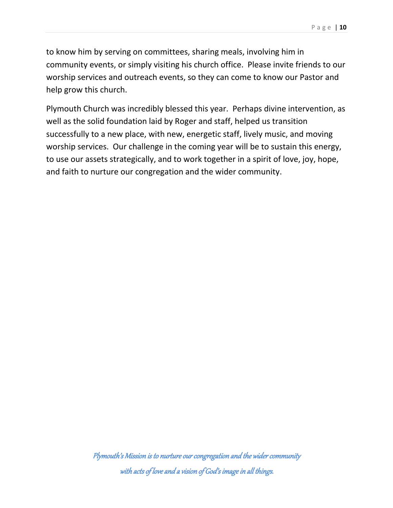to know him by serving on committees, sharing meals, involving him in community events, or simply visiting his church office. Please invite friends to our worship services and outreach events, so they can come to know our Pastor and help grow this church.

Plymouth Church was incredibly blessed this year. Perhaps divine intervention, as well as the solid foundation laid by Roger and staff, helped us transition successfully to a new place, with new, energetic staff, lively music, and moving worship services. Our challenge in the coming year will be to sustain this energy, to use our assets strategically, and to work together in a spirit of love, joy, hope, and faith to nurture our congregation and the wider community.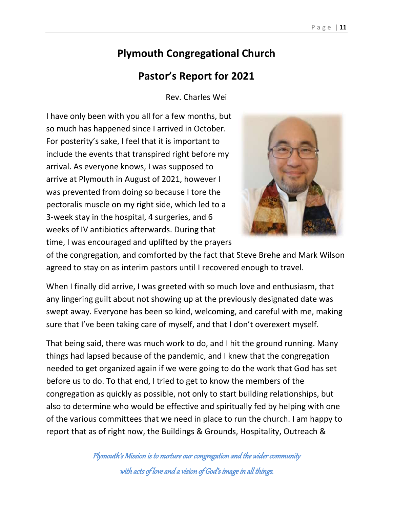## **Plymouth Congregational Church**

### **Pastor's Report for 2021**

Rev. Charles Wei

I have only been with you all for a few months, but so much has happened since I arrived in October. For posterity's sake, I feel that it is important to include the events that transpired right before my arrival. As everyone knows, I was supposed to arrive at Plymouth in August of 2021, however I was prevented from doing so because I tore the pectoralis muscle on my right side, which led to a 3-week stay in the hospital, 4 surgeries, and 6 weeks of IV antibiotics afterwards. During that time, I was encouraged and uplifted by the prayers



of the congregation, and comforted by the fact that Steve Brehe and Mark Wilson agreed to stay on as interim pastors until I recovered enough to travel.

When I finally did arrive, I was greeted with so much love and enthusiasm, that any lingering guilt about not showing up at the previously designated date was swept away. Everyone has been so kind, welcoming, and careful with me, making sure that I've been taking care of myself, and that I don't overexert myself.

That being said, there was much work to do, and I hit the ground running. Many things had lapsed because of the pandemic, and I knew that the congregation needed to get organized again if we were going to do the work that God has set before us to do. To that end, I tried to get to know the members of the congregation as quickly as possible, not only to start building relationships, but also to determine who would be effective and spiritually fed by helping with one of the various committees that we need in place to run the church. I am happy to report that as of right now, the Buildings & Grounds, Hospitality, Outreach &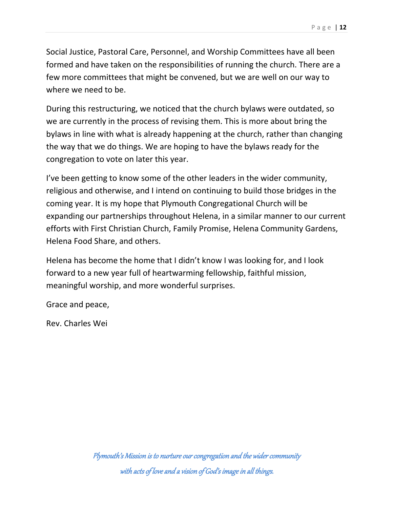Social Justice, Pastoral Care, Personnel, and Worship Committees have all been formed and have taken on the responsibilities of running the church. There are a few more committees that might be convened, but we are well on our way to where we need to be.

During this restructuring, we noticed that the church bylaws were outdated, so we are currently in the process of revising them. This is more about bring the bylaws in line with what is already happening at the church, rather than changing the way that we do things. We are hoping to have the bylaws ready for the congregation to vote on later this year.

I've been getting to know some of the other leaders in the wider community, religious and otherwise, and I intend on continuing to build those bridges in the coming year. It is my hope that Plymouth Congregational Church will be expanding our partnerships throughout Helena, in a similar manner to our current efforts with First Christian Church, Family Promise, Helena Community Gardens, Helena Food Share, and others.

Helena has become the home that I didn't know I was looking for, and I look forward to a new year full of heartwarming fellowship, faithful mission, meaningful worship, and more wonderful surprises.

Grace and peace,

Rev. Charles Wei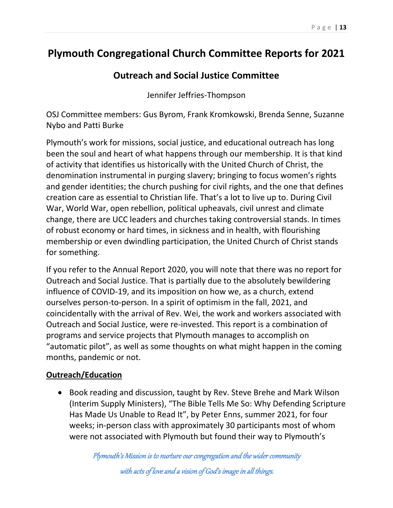### **Plymouth Congregational Church Committee Reports for 2021**

### **Outreach and Social Justice Committee**

Jennifer Jeffries-Thompson

OSJ Committee members: Gus Byrom, Frank Kromkowski, Brenda Senne, Suzanne Nybo and Patti Burke

Plymouth's work for missions, social justice, and educational outreach has long been the soul and heart of what happens through our membership. It is that kind of activity that identifies us historically with the United Church of Christ, the denomination instrumental in purging slavery; bringing to focus women's rights and gender identities; the church pushing for civil rights, and the one that defines creation care as essential to Christian life. That's a lot to live up to. During Civil War, World War, open rebellion, political upheavals, civil unrest and climate change, there are UCC leaders and churches taking controversial stands. In times of robust economy or hard times, in sickness and in health, with flourishing membership or even dwindling participation, the United Church of Christ stands for something.

If you refer to the Annual Report 2020, you will note that there was no report for Outreach and Social Justice. That is partially due to the absolutely bewildering influence of COVID-19, and its imposition on how we, as a church, extend ourselves person-to-person. In a spirit of optimism in the fall, 2021, and coincidentally with the arrival of Rev. Wei, the work and workers associated with Outreach and Social Justice, were re-invested. This report is a combination of programs and service projects that Plymouth manages to accomplish on "automatic pilot", as well as some thoughts on what might happen in the coming months, pandemic or not.

#### **Outreach/Education**

• Book reading and discussion, taught by Rev. Steve Brehe and Mark Wilson (Interim Supply Ministers), "The Bible Tells Me So: Why Defending Scripture Has Made Us Unable to Read It", by Peter Enns, summer 2021, for four weeks; in-person class with approximately 30 participants most of whom were not associated with Plymouth but found their way to Plymouth's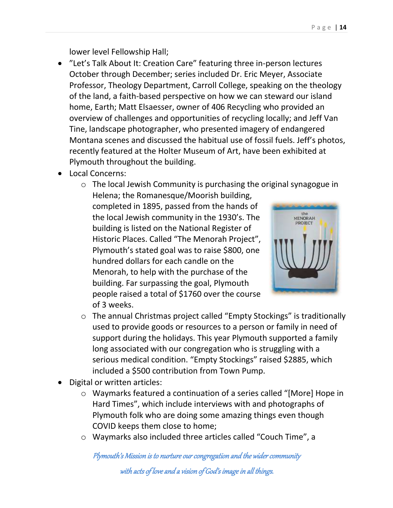lower level Fellowship Hall;

- "Let's Talk About It: Creation Care" featuring three in-person lectures October through December; series included Dr. Eric Meyer, Associate Professor, Theology Department, Carroll College, speaking on the theology of the land, a faith-based perspective on how we can steward our island home, Earth; Matt Elsaesser, owner of 406 Recycling who provided an overview of challenges and opportunities of recycling locally; and Jeff Van Tine, landscape photographer, who presented imagery of endangered Montana scenes and discussed the habitual use of fossil fuels. Jeff's photos, recently featured at the Holter Museum of Art, have been exhibited at Plymouth throughout the building.
- Local Concerns:
	- o The local Jewish Community is purchasing the original synagogue in Helena; the Romanesque/Moorish building, completed in 1895, passed from the hands of the local Jewish community in the 1930's. The building is listed on the National Register of Historic Places. Called "The Menorah Project", Plymouth's stated goal was to raise \$800, one hundred dollars for each candle on the Menorah, to help with the purchase of the building. Far surpassing the goal, Plymouth people raised a total of \$1760 over the course of 3 weeks.



- o The annual Christmas project called "Empty Stockings" is traditionally used to provide goods or resources to a person or family in need of support during the holidays. This year Plymouth supported a family long associated with our congregation who is struggling with a serious medical condition. "Empty Stockings" raised \$2885, which included a \$500 contribution from Town Pump.
- Digital or written articles:
	- o Waymarks featured a continuation of a series called "[More] Hope in Hard Times", which include interviews with and photographs of Plymouth folk who are doing some amazing things even though COVID keeps them close to home;
	- o Waymarks also included three articles called "Couch Time", a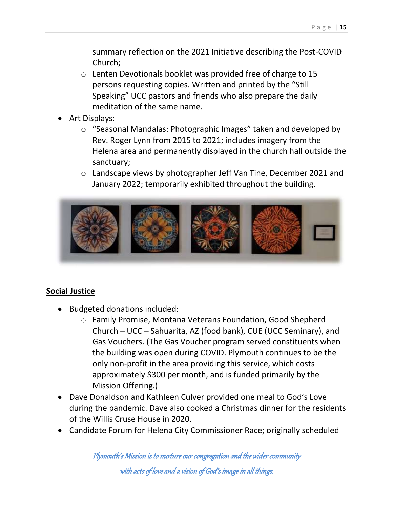summary reflection on the 2021 Initiative describing the Post-COVID Church;

- o Lenten Devotionals booklet was provided free of charge to 15 persons requesting copies. Written and printed by the "Still Speaking" UCC pastors and friends who also prepare the daily meditation of the same name.
- Art Displays:
	- o "Seasonal Mandalas: Photographic Images" taken and developed by Rev. Roger Lynn from 2015 to 2021; includes imagery from the Helena area and permanently displayed in the church hall outside the sanctuary;
	- o Landscape views by photographer Jeff Van Tine, December 2021 and January 2022; temporarily exhibited throughout the building.



#### **Social Justice**

- Budgeted donations included:
	- o Family Promise, Montana Veterans Foundation, Good Shepherd Church – UCC – Sahuarita, AZ (food bank), CUE (UCC Seminary), and Gas Vouchers. (The Gas Voucher program served constituents when the building was open during COVID. Plymouth continues to be the only non-profit in the area providing this service, which costs approximately \$300 per month, and is funded primarily by the Mission Offering.)
- Dave Donaldson and Kathleen Culver provided one meal to God's Love during the pandemic. Dave also cooked a Christmas dinner for the residents of the Willis Cruse House in 2020.
- Candidate Forum for Helena City Commissioner Race; originally scheduled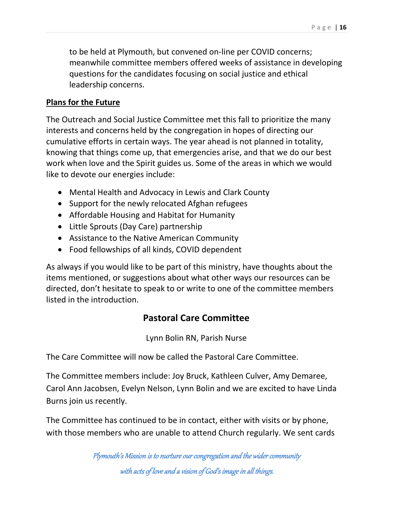to be held at Plymouth, but convened on-line per COVID concerns; meanwhile committee members offered weeks of assistance in developing questions for the candidates focusing on social justice and ethical leadership concerns.

#### **Plans for the Future**

The Outreach and Social Justice Committee met this fall to prioritize the many interests and concerns held by the congregation in hopes of directing our cumulative efforts in certain ways. The year ahead is not planned in totality, knowing that things come up, that emergencies arise, and that we do our best work when love and the Spirit guides us. Some of the areas in which we would like to devote our energies include:

- Mental Health and Advocacy in Lewis and Clark County
- Support for the newly relocated Afghan refugees
- Affordable Housing and Habitat for Humanity
- Little Sprouts (Day Care) partnership
- Assistance to the Native American Community
- Food fellowships of all kinds, COVID dependent

As always if you would like to be part of this ministry, have thoughts about the items mentioned, or suggestions about what other ways our resources can be directed, don't hesitate to speak to or write to one of the committee members listed in the introduction.

### **Pastoral Care Committee**

Lynn Bolin RN, Parish Nurse

The Care Committee will now be called the Pastoral Care Committee.

The Committee members include: Joy Bruck, Kathleen Culver, Amy Demaree, Carol Ann Jacobsen, Evelyn Nelson, Lynn Bolin and we are excited to have Linda Burns join us recently.

The Committee has continued to be in contact, either with visits or by phone, with those members who are unable to attend Church regularly. We sent cards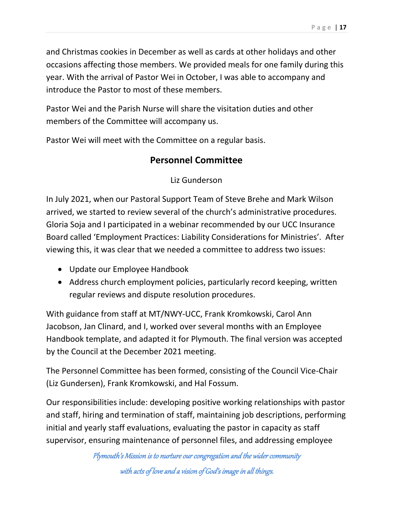and Christmas cookies in December as well as cards at other holidays and other occasions affecting those members. We provided meals for one family during this year. With the arrival of Pastor Wei in October, I was able to accompany and introduce the Pastor to most of these members.

Pastor Wei and the Parish Nurse will share the visitation duties and other members of the Committee will accompany us.

Pastor Wei will meet with the Committee on a regular basis.

### **Personnel Committee**

Liz Gunderson

In July 2021, when our Pastoral Support Team of Steve Brehe and Mark Wilson arrived, we started to review several of the church's administrative procedures. Gloria Soja and I participated in a webinar recommended by our UCC Insurance Board called 'Employment Practices: Liability Considerations for Ministries'. After viewing this, it was clear that we needed a committee to address two issues:

- Update our Employee Handbook
- Address church employment policies, particularly record keeping, written regular reviews and dispute resolution procedures.

With guidance from staff at MT/NWY-UCC, Frank Kromkowski, Carol Ann Jacobson, Jan Clinard, and I, worked over several months with an Employee Handbook template, and adapted it for Plymouth. The final version was accepted by the Council at the December 2021 meeting.

The Personnel Committee has been formed, consisting of the Council Vice-Chair (Liz Gundersen), Frank Kromkowski, and Hal Fossum.

Our responsibilities include: developing positive working relationships with pastor and staff, hiring and termination of staff, maintaining job descriptions, performing initial and yearly staff evaluations, evaluating the pastor in capacity as staff supervisor, ensuring maintenance of personnel files, and addressing employee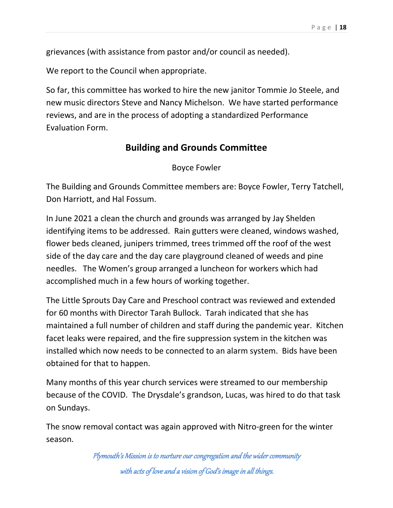grievances (with assistance from pastor and/or council as needed).

We report to the Council when appropriate.

So far, this committee has worked to hire the new janitor Tommie Jo Steele, and new music directors Steve and Nancy Michelson. We have started performance reviews, and are in the process of adopting a standardized Performance Evaluation Form.

### **Building and Grounds Committee**

Boyce Fowler

The Building and Grounds Committee members are: Boyce Fowler, Terry Tatchell, Don Harriott, and Hal Fossum.

In June 2021 a clean the church and grounds was arranged by Jay Shelden identifying items to be addressed. Rain gutters were cleaned, windows washed, flower beds cleaned, junipers trimmed, trees trimmed off the roof of the west side of the day care and the day care playground cleaned of weeds and pine needles. The Women's group arranged a luncheon for workers which had accomplished much in a few hours of working together.

The Little Sprouts Day Care and Preschool contract was reviewed and extended for 60 months with Director Tarah Bullock. Tarah indicated that she has maintained a full number of children and staff during the pandemic year. Kitchen facet leaks were repaired, and the fire suppression system in the kitchen was installed which now needs to be connected to an alarm system. Bids have been obtained for that to happen.

Many months of this year church services were streamed to our membership because of the COVID. The Drysdale's grandson, Lucas, was hired to do that task on Sundays.

The snow removal contact was again approved with Nitro-green for the winter season.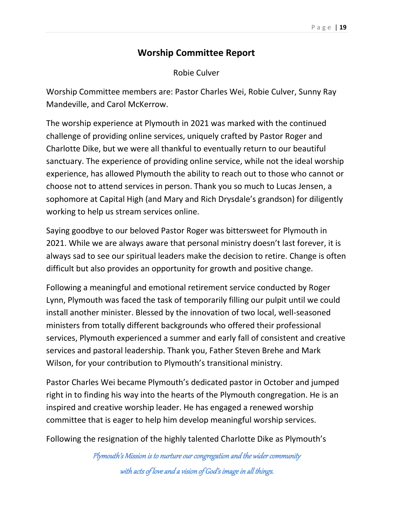#### **Worship Committee Report**

Robie Culver

Worship Committee members are: Pastor Charles Wei, Robie Culver, Sunny Ray Mandeville, and Carol McKerrow.

The worship experience at Plymouth in 2021 was marked with the continued challenge of providing online services, uniquely crafted by Pastor Roger and Charlotte Dike, but we were all thankful to eventually return to our beautiful sanctuary. The experience of providing online service, while not the ideal worship experience, has allowed Plymouth the ability to reach out to those who cannot or choose not to attend services in person. Thank you so much to Lucas Jensen, a sophomore at Capital High (and Mary and Rich Drysdale's grandson) for diligently working to help us stream services online.

Saying goodbye to our beloved Pastor Roger was bittersweet for Plymouth in 2021. While we are always aware that personal ministry doesn't last forever, it is always sad to see our spiritual leaders make the decision to retire. Change is often difficult but also provides an opportunity for growth and positive change.

Following a meaningful and emotional retirement service conducted by Roger Lynn, Plymouth was faced the task of temporarily filling our pulpit until we could install another minister. Blessed by the innovation of two local, well-seasoned ministers from totally different backgrounds who offered their professional services, Plymouth experienced a summer and early fall of consistent and creative services and pastoral leadership. Thank you, Father Steven Brehe and Mark Wilson, for your contribution to Plymouth's transitional ministry.

Pastor Charles Wei became Plymouth's dedicated pastor in October and jumped right in to finding his way into the hearts of the Plymouth congregation. He is an inspired and creative worship leader. He has engaged a renewed worship committee that is eager to help him develop meaningful worship services.

Following the resignation of the highly talented Charlotte Dike as Plymouth's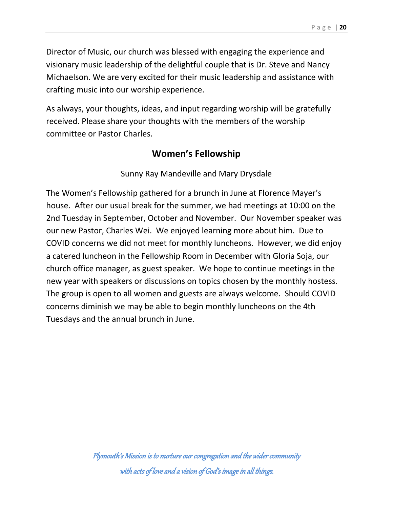Director of Music, our church was blessed with engaging the experience and visionary music leadership of the delightful couple that is Dr. Steve and Nancy Michaelson. We are very excited for their music leadership and assistance with crafting music into our worship experience.

As always, your thoughts, ideas, and input regarding worship will be gratefully received. Please share your thoughts with the members of the worship committee or Pastor Charles.

#### **Women's Fellowship**

#### Sunny Ray Mandeville and Mary Drysdale

The Women's Fellowship gathered for a brunch in June at Florence Mayer's house. After our usual break for the summer, we had meetings at 10:00 on the 2nd Tuesday in September, October and November. Our November speaker was our new Pastor, Charles Wei. We enjoyed learning more about him. Due to COVID concerns we did not meet for monthly luncheons. However, we did enjoy a catered luncheon in the Fellowship Room in December with Gloria Soja, our church office manager, as guest speaker. We hope to continue meetings in the new year with speakers or discussions on topics chosen by the monthly hostess. The group is open to all women and guests are always welcome. Should COVID concerns diminish we may be able to begin monthly luncheons on the 4th Tuesdays and the annual brunch in June.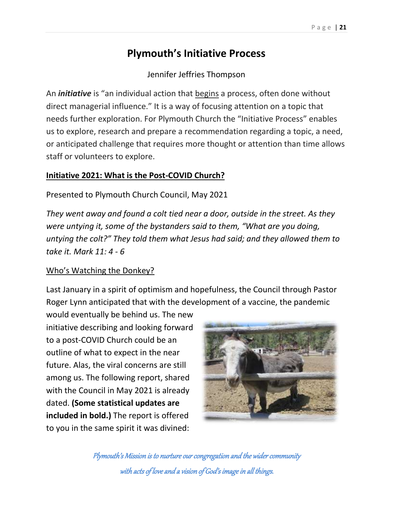### **Plymouth's Initiative Process**

Jennifer Jeffries Thompson

An *initiative* is "an individual action that begins a process, often done without direct managerial influence." It is a way of focusing attention on a topic that needs further exploration. For Plymouth Church the "Initiative Process" enables us to explore, research and prepare a recommendation regarding a topic, a need, or anticipated challenge that requires more thought or attention than time allows staff or volunteers to explore.

#### **Initiative 2021: What is the Post-COVID Church?**

Presented to Plymouth Church Council, May 2021

*They went away and found a colt tied near a door, outside in the street. As they were untying it, some of the bystanders said to them, "What are you doing, untying the colt?" They told them what Jesus had said; and they allowed them to take it. Mark 11: 4 - 6*

#### Who's Watching the Donkey?

Last January in a spirit of optimism and hopefulness, the Council through Pastor Roger Lynn anticipated that with the development of a vaccine, the pandemic

would eventually be behind us. The new initiative describing and looking forward to a post-COVID Church could be an outline of what to expect in the near future. Alas, the viral concerns are still among us. The following report, shared with the Council in May 2021 is already dated. **(Some statistical updates are included in bold.)** The report is offered to you in the same spirit it was divined:

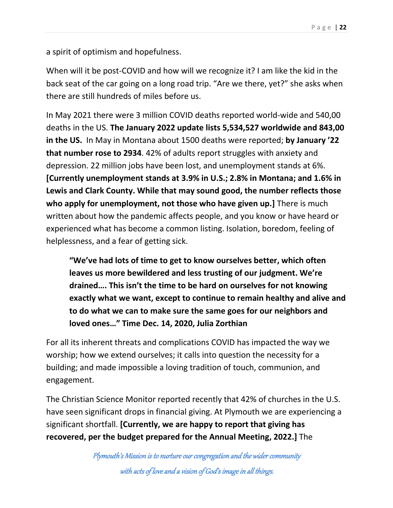a spirit of optimism and hopefulness.

When will it be post-COVID and how will we recognize it? I am like the kid in the back seat of the car going on a long road trip. "Are we there, yet?" she asks when there are still hundreds of miles before us.

In May 2021 there were 3 million COVID deaths reported world-wide and 540,00 deaths in the US. **The January 2022 update lists 5,534,527 worldwide and 843,00 in the US.** In May in Montana about 1500 deaths were reported; **by January '22 that number rose to 2934**. 42% of adults report struggles with anxiety and depression. 22 million jobs have been lost, and unemployment stands at 6%. **[Currently unemployment stands at 3.9% in U.S.; 2.8% in Montana; and 1.6% in Lewis and Clark County. While that may sound good, the number reflects those who apply for unemployment, not those who have given up.]** There is much written about how the pandemic affects people, and you know or have heard or experienced what has become a common listing. Isolation, boredom, feeling of helplessness, and a fear of getting sick.

**"We've had lots of time to get to know ourselves better, which often leaves us more bewildered and less trusting of our judgment. We're drained…. This isn't the time to be hard on ourselves for not knowing exactly what we want, except to continue to remain healthy and alive and to do what we can to make sure the same goes for our neighbors and loved ones…" Time Dec. 14, 2020, Julia Zorthian**

For all its inherent threats and complications COVID has impacted the way we worship; how we extend ourselves; it calls into question the necessity for a building; and made impossible a loving tradition of touch, communion, and engagement.

The Christian Science Monitor reported recently that 42% of churches in the U.S. have seen significant drops in financial giving. At Plymouth we are experiencing a significant shortfall. **[Currently, we are happy to report that giving has recovered, per the budget prepared for the Annual Meeting, 2022.]** The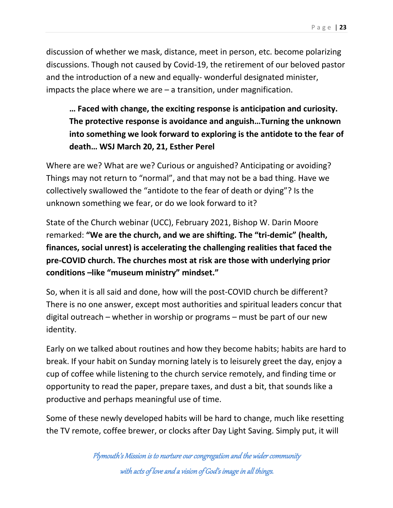discussion of whether we mask, distance, meet in person, etc. become polarizing discussions. Though not caused by Covid-19, the retirement of our beloved pastor and the introduction of a new and equally- wonderful designated minister, impacts the place where we are  $-$  a transition, under magnification.

### **… Faced with change, the exciting response is anticipation and curiosity. The protective response is avoidance and anguish…Turning the unknown into something we look forward to exploring is the antidote to the fear of death… WSJ March 20, 21, Esther Perel**

Where are we? What are we? Curious or anguished? Anticipating or avoiding? Things may not return to "normal", and that may not be a bad thing. Have we collectively swallowed the "antidote to the fear of death or dying"? Is the unknown something we fear, or do we look forward to it?

State of the Church webinar (UCC), February 2021, Bishop W. Darin Moore remarked: **"We are the church, and we are shifting. The "tri-demic" (health, finances, social unrest) is accelerating the challenging realities that faced the pre-COVID church. The churches most at risk are those with underlying prior conditions –like "museum ministry" mindset."**

So, when it is all said and done, how will the post-COVID church be different? There is no one answer, except most authorities and spiritual leaders concur that digital outreach – whether in worship or programs – must be part of our new identity.

Early on we talked about routines and how they become habits; habits are hard to break. If your habit on Sunday morning lately is to leisurely greet the day, enjoy a cup of coffee while listening to the church service remotely, and finding time or opportunity to read the paper, prepare taxes, and dust a bit, that sounds like a productive and perhaps meaningful use of time.

Some of these newly developed habits will be hard to change, much like resetting the TV remote, coffee brewer, or clocks after Day Light Saving. Simply put, it will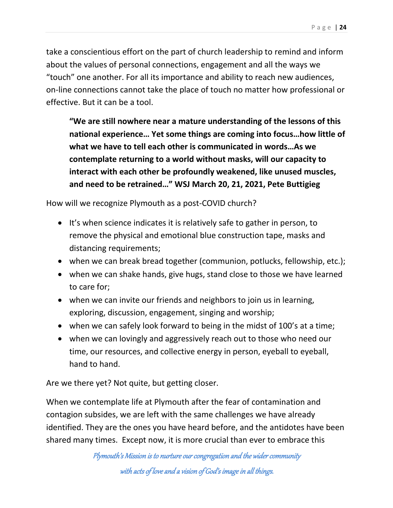take a conscientious effort on the part of church leadership to remind and inform about the values of personal connections, engagement and all the ways we "touch" one another. For all its importance and ability to reach new audiences, on-line connections cannot take the place of touch no matter how professional or effective. But it can be a tool.

**"We are still nowhere near a mature understanding of the lessons of this national experience… Yet some things are coming into focus…how little of what we have to tell each other is communicated in words…As we contemplate returning to a world without masks, will our capacity to interact with each other be profoundly weakened, like unused muscles, and need to be retrained…" WSJ March 20, 21, 2021, Pete Buttigieg**

How will we recognize Plymouth as a post-COVID church?

- It's when science indicates it is relatively safe to gather in person, to remove the physical and emotional blue construction tape, masks and distancing requirements;
- when we can break bread together (communion, potlucks, fellowship, etc.);
- when we can shake hands, give hugs, stand close to those we have learned to care for;
- when we can invite our friends and neighbors to join us in learning, exploring, discussion, engagement, singing and worship;
- when we can safely look forward to being in the midst of 100's at a time;
- when we can lovingly and aggressively reach out to those who need our time, our resources, and collective energy in person, eyeball to eyeball, hand to hand.

Are we there yet? Not quite, but getting closer.

When we contemplate life at Plymouth after the fear of contamination and contagion subsides, we are left with the same challenges we have already identified. They are the ones you have heard before, and the antidotes have been shared many times. Except now, it is more crucial than ever to embrace this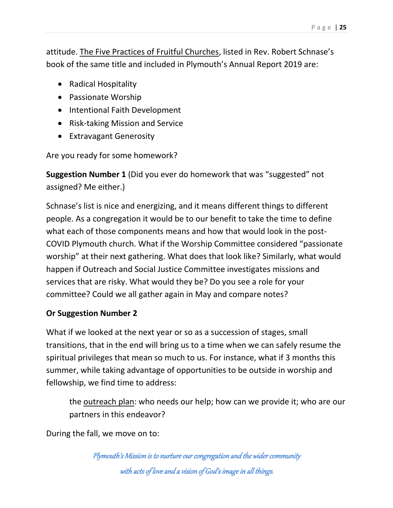attitude. The Five Practices of Fruitful Churches, listed in Rev. Robert Schnase's book of the same title and included in Plymouth's Annual Report 2019 are:

- Radical Hospitality
- Passionate Worship
- Intentional Faith Development
- Risk-taking Mission and Service
- Extravagant Generosity

Are you ready for some homework?

**Suggestion Number 1** (Did you ever do homework that was "suggested" not assigned? Me either.)

Schnase's list is nice and energizing, and it means different things to different people. As a congregation it would be to our benefit to take the time to define what each of those components means and how that would look in the post-COVID Plymouth church. What if the Worship Committee considered "passionate worship" at their next gathering. What does that look like? Similarly, what would happen if Outreach and Social Justice Committee investigates missions and services that are risky. What would they be? Do you see a role for your committee? Could we all gather again in May and compare notes?

#### **Or Suggestion Number 2**

What if we looked at the next year or so as a succession of stages, small transitions, that in the end will bring us to a time when we can safely resume the spiritual privileges that mean so much to us. For instance, what if 3 months this summer, while taking advantage of opportunities to be outside in worship and fellowship, we find time to address:

the outreach plan: who needs our help; how can we provide it; who are our partners in this endeavor?

During the fall, we move on to: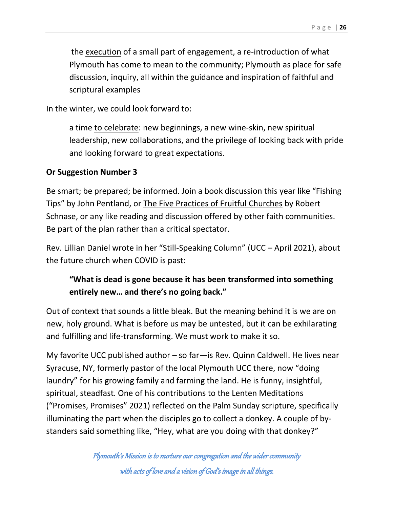the execution of a small part of engagement, a re-introduction of what Plymouth has come to mean to the community; Plymouth as place for safe discussion, inquiry, all within the guidance and inspiration of faithful and scriptural examples

In the winter, we could look forward to:

a time to celebrate: new beginnings, a new wine-skin, new spiritual leadership, new collaborations, and the privilege of looking back with pride and looking forward to great expectations.

#### **Or Suggestion Number 3**

Be smart; be prepared; be informed. Join a book discussion this year like "Fishing Tips" by John Pentland, or The Five Practices of Fruitful Churches by Robert Schnase, or any like reading and discussion offered by other faith communities. Be part of the plan rather than a critical spectator.

Rev. Lillian Daniel wrote in her "Still-Speaking Column" (UCC – April 2021), about the future church when COVID is past:

### **"What is dead is gone because it has been transformed into something entirely new… and there's no going back."**

Out of context that sounds a little bleak. But the meaning behind it is we are on new, holy ground. What is before us may be untested, but it can be exhilarating and fulfilling and life-transforming. We must work to make it so.

My favorite UCC published author – so far—is Rev. Quinn Caldwell. He lives near Syracuse, NY, formerly pastor of the local Plymouth UCC there, now "doing laundry" for his growing family and farming the land. He is funny, insightful, spiritual, steadfast. One of his contributions to the Lenten Meditations ("Promises, Promises" 2021) reflected on the Palm Sunday scripture, specifically illuminating the part when the disciples go to collect a donkey. A couple of bystanders said something like, "Hey, what are you doing with that donkey?"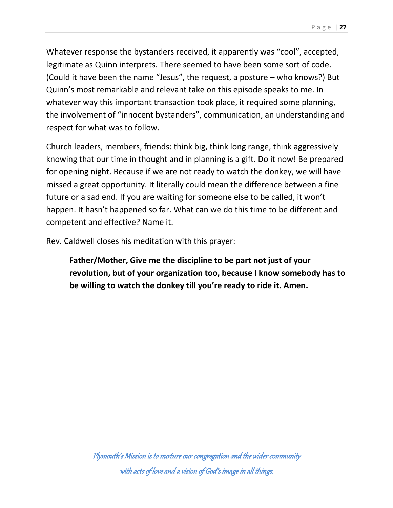Whatever response the bystanders received, it apparently was "cool", accepted, legitimate as Quinn interprets. There seemed to have been some sort of code. (Could it have been the name "Jesus", the request, a posture – who knows?) But Quinn's most remarkable and relevant take on this episode speaks to me. In whatever way this important transaction took place, it required some planning, the involvement of "innocent bystanders", communication, an understanding and respect for what was to follow.

Church leaders, members, friends: think big, think long range, think aggressively knowing that our time in thought and in planning is a gift. Do it now! Be prepared for opening night. Because if we are not ready to watch the donkey, we will have missed a great opportunity. It literally could mean the difference between a fine future or a sad end. If you are waiting for someone else to be called, it won't happen. It hasn't happened so far. What can we do this time to be different and competent and effective? Name it.

Rev. Caldwell closes his meditation with this prayer:

**Father/Mother, Give me the discipline to be part not just of your revolution, but of your organization too, because I know somebody has to be willing to watch the donkey till you're ready to ride it. Amen.**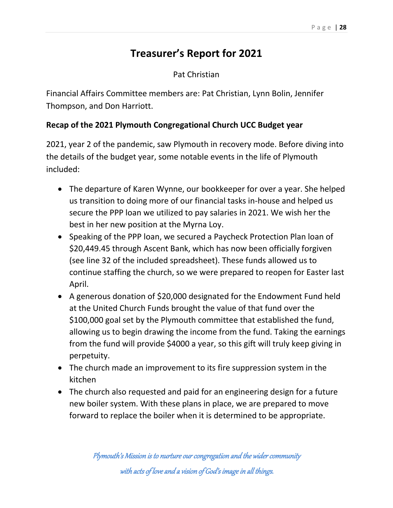## **Treasurer's Report for 2021**

#### Pat Christian

Financial Affairs Committee members are: Pat Christian, Lynn Bolin, Jennifer Thompson, and Don Harriott.

#### **Recap of the 2021 Plymouth Congregational Church UCC Budget year**

2021, year 2 of the pandemic, saw Plymouth in recovery mode. Before diving into the details of the budget year, some notable events in the life of Plymouth included:

- The departure of Karen Wynne, our bookkeeper for over a year. She helped us transition to doing more of our financial tasks in-house and helped us secure the PPP loan we utilized to pay salaries in 2021. We wish her the best in her new position at the Myrna Loy.
- Speaking of the PPP loan, we secured a Paycheck Protection Plan loan of \$20,449.45 through Ascent Bank, which has now been officially forgiven (see line 32 of the included spreadsheet). These funds allowed us to continue staffing the church, so we were prepared to reopen for Easter last April.
- A generous donation of \$20,000 designated for the Endowment Fund held at the United Church Funds brought the value of that fund over the \$100,000 goal set by the Plymouth committee that established the fund, allowing us to begin drawing the income from the fund. Taking the earnings from the fund will provide \$4000 a year, so this gift will truly keep giving in perpetuity.
- The church made an improvement to its fire suppression system in the kitchen
- The church also requested and paid for an engineering design for a future new boiler system. With these plans in place, we are prepared to move forward to replace the boiler when it is determined to be appropriate.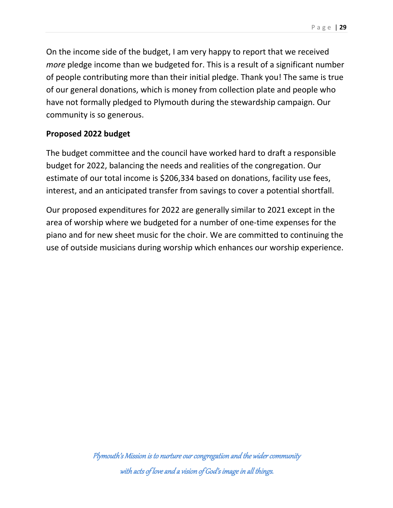On the income side of the budget, I am very happy to report that we received *more* pledge income than we budgeted for. This is a result of a significant number of people contributing more than their initial pledge. Thank you! The same is true of our general donations, which is money from collection plate and people who have not formally pledged to Plymouth during the stewardship campaign. Our community is so generous.

#### **Proposed 2022 budget**

The budget committee and the council have worked hard to draft a responsible budget for 2022, balancing the needs and realities of the congregation. Our estimate of our total income is \$206,334 based on donations, facility use fees, interest, and an anticipated transfer from savings to cover a potential shortfall.

Our proposed expenditures for 2022 are generally similar to 2021 except in the area of worship where we budgeted for a number of one-time expenses for the piano and for new sheet music for the choir. We are committed to continuing the use of outside musicians during worship which enhances our worship experience.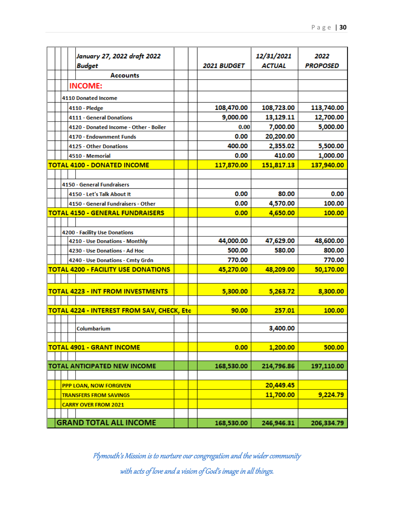|  |                             |                                                                                                                                                                                                                                                                                                                                                                                                                                                                                                                                                                                                                                                                                                                                                                                                                 |                                                   | 12/31/2021<br><b>ACTUAL</b>                                                                         | 2022<br><b>PROPOSED</b>                                                                                                      |
|--|-----------------------------|-----------------------------------------------------------------------------------------------------------------------------------------------------------------------------------------------------------------------------------------------------------------------------------------------------------------------------------------------------------------------------------------------------------------------------------------------------------------------------------------------------------------------------------------------------------------------------------------------------------------------------------------------------------------------------------------------------------------------------------------------------------------------------------------------------------------|---------------------------------------------------|-----------------------------------------------------------------------------------------------------|------------------------------------------------------------------------------------------------------------------------------|
|  | <b>Accounts</b>             |                                                                                                                                                                                                                                                                                                                                                                                                                                                                                                                                                                                                                                                                                                                                                                                                                 |                                                   |                                                                                                     |                                                                                                                              |
|  |                             |                                                                                                                                                                                                                                                                                                                                                                                                                                                                                                                                                                                                                                                                                                                                                                                                                 |                                                   |                                                                                                     |                                                                                                                              |
|  |                             |                                                                                                                                                                                                                                                                                                                                                                                                                                                                                                                                                                                                                                                                                                                                                                                                                 |                                                   |                                                                                                     |                                                                                                                              |
|  |                             |                                                                                                                                                                                                                                                                                                                                                                                                                                                                                                                                                                                                                                                                                                                                                                                                                 |                                                   |                                                                                                     | 113,740.00                                                                                                                   |
|  |                             |                                                                                                                                                                                                                                                                                                                                                                                                                                                                                                                                                                                                                                                                                                                                                                                                                 |                                                   |                                                                                                     | 12,700.00                                                                                                                    |
|  |                             |                                                                                                                                                                                                                                                                                                                                                                                                                                                                                                                                                                                                                                                                                                                                                                                                                 |                                                   |                                                                                                     | 5,000.00                                                                                                                     |
|  |                             |                                                                                                                                                                                                                                                                                                                                                                                                                                                                                                                                                                                                                                                                                                                                                                                                                 |                                                   |                                                                                                     |                                                                                                                              |
|  |                             |                                                                                                                                                                                                                                                                                                                                                                                                                                                                                                                                                                                                                                                                                                                                                                                                                 |                                                   |                                                                                                     | 5,500.00                                                                                                                     |
|  |                             |                                                                                                                                                                                                                                                                                                                                                                                                                                                                                                                                                                                                                                                                                                                                                                                                                 | 0.00                                              |                                                                                                     | 1,000.00                                                                                                                     |
|  |                             |                                                                                                                                                                                                                                                                                                                                                                                                                                                                                                                                                                                                                                                                                                                                                                                                                 |                                                   |                                                                                                     | 137,940.00                                                                                                                   |
|  |                             |                                                                                                                                                                                                                                                                                                                                                                                                                                                                                                                                                                                                                                                                                                                                                                                                                 |                                                   |                                                                                                     |                                                                                                                              |
|  |                             |                                                                                                                                                                                                                                                                                                                                                                                                                                                                                                                                                                                                                                                                                                                                                                                                                 |                                                   |                                                                                                     |                                                                                                                              |
|  |                             |                                                                                                                                                                                                                                                                                                                                                                                                                                                                                                                                                                                                                                                                                                                                                                                                                 | 0.00                                              | 80.00                                                                                               | 0.00                                                                                                                         |
|  |                             |                                                                                                                                                                                                                                                                                                                                                                                                                                                                                                                                                                                                                                                                                                                                                                                                                 | 0.00                                              | 4,570.00                                                                                            | 100.00                                                                                                                       |
|  |                             |                                                                                                                                                                                                                                                                                                                                                                                                                                                                                                                                                                                                                                                                                                                                                                                                                 | 0.00                                              | 4,650.00                                                                                            | 100.00                                                                                                                       |
|  |                             |                                                                                                                                                                                                                                                                                                                                                                                                                                                                                                                                                                                                                                                                                                                                                                                                                 |                                                   |                                                                                                     |                                                                                                                              |
|  |                             |                                                                                                                                                                                                                                                                                                                                                                                                                                                                                                                                                                                                                                                                                                                                                                                                                 |                                                   |                                                                                                     |                                                                                                                              |
|  |                             |                                                                                                                                                                                                                                                                                                                                                                                                                                                                                                                                                                                                                                                                                                                                                                                                                 | 44,000.00                                         | 47,629.00                                                                                           | 48,600.00                                                                                                                    |
|  |                             |                                                                                                                                                                                                                                                                                                                                                                                                                                                                                                                                                                                                                                                                                                                                                                                                                 | 500.00                                            | 580.00                                                                                              | 800.00                                                                                                                       |
|  |                             |                                                                                                                                                                                                                                                                                                                                                                                                                                                                                                                                                                                                                                                                                                                                                                                                                 | 770.00                                            |                                                                                                     | 770.00                                                                                                                       |
|  |                             |                                                                                                                                                                                                                                                                                                                                                                                                                                                                                                                                                                                                                                                                                                                                                                                                                 | 45,270.00                                         | 48,209.00                                                                                           | 50,170.00                                                                                                                    |
|  |                             |                                                                                                                                                                                                                                                                                                                                                                                                                                                                                                                                                                                                                                                                                                                                                                                                                 |                                                   |                                                                                                     |                                                                                                                              |
|  |                             |                                                                                                                                                                                                                                                                                                                                                                                                                                                                                                                                                                                                                                                                                                                                                                                                                 | 5,300.00                                          | 5,263.72                                                                                            | 8,300.00                                                                                                                     |
|  |                             |                                                                                                                                                                                                                                                                                                                                                                                                                                                                                                                                                                                                                                                                                                                                                                                                                 |                                                   |                                                                                                     |                                                                                                                              |
|  |                             |                                                                                                                                                                                                                                                                                                                                                                                                                                                                                                                                                                                                                                                                                                                                                                                                                 | 90.00                                             | 257.01                                                                                              | 100.00                                                                                                                       |
|  |                             |                                                                                                                                                                                                                                                                                                                                                                                                                                                                                                                                                                                                                                                                                                                                                                                                                 |                                                   |                                                                                                     |                                                                                                                              |
|  | Columbarium                 |                                                                                                                                                                                                                                                                                                                                                                                                                                                                                                                                                                                                                                                                                                                                                                                                                 |                                                   | 3,400.00                                                                                            |                                                                                                                              |
|  |                             |                                                                                                                                                                                                                                                                                                                                                                                                                                                                                                                                                                                                                                                                                                                                                                                                                 |                                                   |                                                                                                     |                                                                                                                              |
|  |                             |                                                                                                                                                                                                                                                                                                                                                                                                                                                                                                                                                                                                                                                                                                                                                                                                                 |                                                   | 1,200.00                                                                                            | 500.00                                                                                                                       |
|  |                             |                                                                                                                                                                                                                                                                                                                                                                                                                                                                                                                                                                                                                                                                                                                                                                                                                 |                                                   |                                                                                                     |                                                                                                                              |
|  |                             |                                                                                                                                                                                                                                                                                                                                                                                                                                                                                                                                                                                                                                                                                                                                                                                                                 |                                                   |                                                                                                     | 197,110.00                                                                                                                   |
|  |                             |                                                                                                                                                                                                                                                                                                                                                                                                                                                                                                                                                                                                                                                                                                                                                                                                                 |                                                   |                                                                                                     |                                                                                                                              |
|  |                             |                                                                                                                                                                                                                                                                                                                                                                                                                                                                                                                                                                                                                                                                                                                                                                                                                 |                                                   |                                                                                                     |                                                                                                                              |
|  |                             |                                                                                                                                                                                                                                                                                                                                                                                                                                                                                                                                                                                                                                                                                                                                                                                                                 |                                                   |                                                                                                     | 9,224.79                                                                                                                     |
|  |                             |                                                                                                                                                                                                                                                                                                                                                                                                                                                                                                                                                                                                                                                                                                                                                                                                                 |                                                   |                                                                                                     |                                                                                                                              |
|  | <b>CARRY OVER FROM 2021</b> |                                                                                                                                                                                                                                                                                                                                                                                                                                                                                                                                                                                                                                                                                                                                                                                                                 |                                                   |                                                                                                     |                                                                                                                              |
|  |                             | January 27, 2022 draft 2022<br>Budget<br><b>INCOME:</b><br><b>4110 Donated Income</b><br>4110 - Pledge<br>4111 - General Donations<br>4120 - Donated Income - Other - Boiler<br>4170 - Endownment Funds<br>4125 - Other Donations<br>4510 - Memorial<br><b>TOTAL 4100 - DONATED INCOME</b><br><b>4150 - General Fundraisers</b><br>4150 - Let's Talk About It<br>4150 - General Fundraisers - Other<br><b>TOTAL 4150 - GENERAL FUNDRAISERS</b><br>4200 - Facility Use Donations<br>4210 - Use Donations - Monthly<br>4230 - Use Donations - Ad Hoc<br>4240 - Use Donations - Cmty Grdn<br><b>TOTAL 4200 - FACILITY USE DONATIONS</b><br><b>TOTAL 4223 - INT FROM INVESTMENTS</b><br><b>TOTAL 4901 - GRANT INCOME</b><br>TOTAL ANTICIPATED NEW INCOME<br>PPP LOAN, NOW FORGIVEN<br><b>TRANSFERS FROM SAVINGS</b> | <b>TOTAL 4224 - INTEREST FROM SAV, CHECK, Etc</b> | 2021 BUDGET<br>108,470.00<br>9,000.00<br>0.00<br>0.00<br>400.00<br>117,870.00<br>0.00<br>168,530.00 | 108,723.00<br>13,129.11<br>7,000.00<br>20,200.00<br>2,355.02<br>410.00<br>151,817.13<br>214,796.86<br>20,449.45<br>11,700.00 |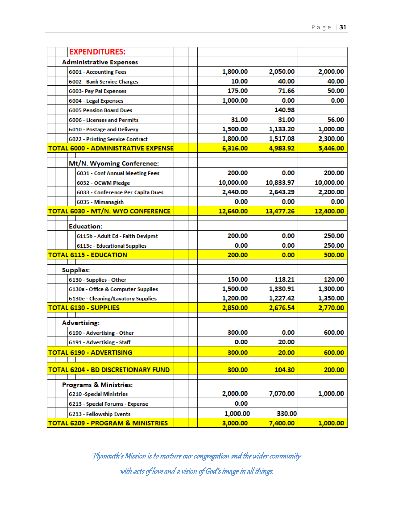|  | <b>EXPENDITURES:</b>                         |           |           |           |
|--|----------------------------------------------|-----------|-----------|-----------|
|  | <b>Administrative Expenses</b>               |           |           |           |
|  | 6001 - Accounting Fees                       | 1,800.00  | 2,050.00  | 2,000.00  |
|  | 6002 - Bank Service Charges                  | 10.00     | 40.00     | 40.00     |
|  | 6003- Pay Pal Expenses                       | 175.00    | 71.66     | 50.00     |
|  | 6004 - Legal Expenses                        | 1,000.00  | 0.00      | 0.00      |
|  | <b>6005 Pension Board Dues</b>               |           | 140.98    |           |
|  | 6006 - Licenses and Permits                  | 31.00     | 31.00     | 56.00     |
|  | 6010 - Postage and Delivery                  | 1,500.00  | 1,133.20  | 1,000.00  |
|  | 6022 - Printing Service Contract             | 1,800.00  | 1,517.08  | 2,300.00  |
|  | <b>TOTAL 6000 - ADMINISTRATIVE EXPENSE</b>   | 6,316.00  | 4,983.92  | 5,446.00  |
|  | Mt/N. Wyoming Conference:                    |           |           |           |
|  | 6031 - Conf Annual Meeting Fees              | 200.00    | 0.00      | 200.00    |
|  | 6032 - OCWM Pledge                           | 10,000.00 | 10,833.97 | 10,000.00 |
|  | 6033 - Conference Per Capita Dues            | 2,440.00  | 2,643.29  | 2,200.00  |
|  | 6035 - Mimanagish                            | 0.00      | 0.00      | 0.00      |
|  | TOTAL 6030 - MT/N. WYO CONFERENCE            | 12,640.00 | 13,477.26 | 12,400.00 |
|  |                                              |           |           |           |
|  | <b>Education:</b>                            |           |           |           |
|  | 6115b - Adult Ed - Faith Devlpmt             | 200.00    | 0.00      | 250.00    |
|  | 6115c - Educational Supplies                 | 0.00      | 0.00      | 250.00    |
|  | <b>TOTAL 6115 - EDUCATION</b>                | 200.00    | 0.00      | 500.00    |
|  | Supplies:                                    |           |           |           |
|  | 6130 - Supplies - Other                      | 150.00    | 118.21    | 120.00    |
|  | 6130a - Office & Computer Supplies           | 1,500.00  | 1,330.91  | 1,300.00  |
|  | 6130e - Cleaning/Lavatory Supplies           | 1,200.00  | 1,227.42  | 1,350.00  |
|  | <b>TOTAL 6130 - SUPPLIES</b>                 | 2,850.00  | 2,676.54  | 2,770.00  |
|  |                                              |           |           |           |
|  | <b>Advertising:</b>                          |           |           |           |
|  | 6190 - Advertising - Other                   | 300.00    | 0.00      | 600.00    |
|  | 6191 - Advertising - Staff                   | 0.00      | 20.00     |           |
|  | <b>TOTAL 6190 - ADVERTISING</b>              | 300.00    | 20.00     | 600.00    |
|  |                                              |           |           |           |
|  | <b>TOTAL 6204 - BD DISCRETIONARY FUND</b>    | 300.00    | 104.30    | 200.00    |
|  | <b>Programs &amp; Ministries:</b>            |           |           |           |
|  | <b>6210 - Special Ministries</b>             | 2,000.00  | 7,070.00  | 1,000.00  |
|  | 6213 - Special Forums - Expense              | 0.00      |           |           |
|  | 6213 - Fellowship Events                     | 1,000.00  | 330.00    |           |
|  | <b>TOTAL 6209 - PROGRAM &amp; MINISTRIES</b> | 3,000.00  | 7,400.00  | 1,000.00  |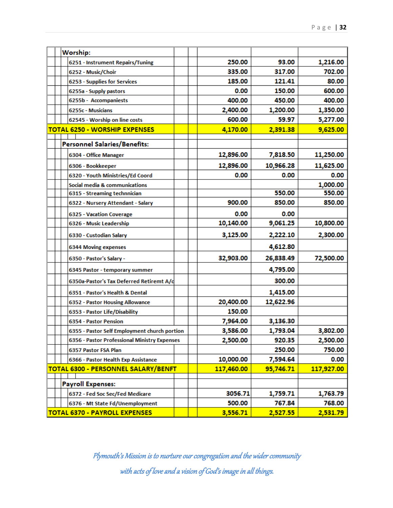|  | Worship:                                     |            |           |            |
|--|----------------------------------------------|------------|-----------|------------|
|  | 6251 - Instrument Repairs/Tuning             | 250.00     | 93.00     | 1,216.00   |
|  | 6252 - Music/Choir                           | 335.00     | 317.00    | 702.00     |
|  | 6253 - Supplies for Services                 | 185.00     | 121.41    | 80.00      |
|  | 6255a - Supply pastors                       | 0.00       | 150.00    | 600.00     |
|  | 6255b - Accompaniests                        | 400.00     | 450.00    | 400.00     |
|  | 6255c - Musicians                            | 2,400.00   | 1,200.00  | 1,350.00   |
|  | 62545 - Worship on line costs                | 600.00     | 59.97     | 5,277.00   |
|  | <b>TOTAL 6250 - WORSHIP EXPENSES</b>         | 4,170.00   | 2,391.38  | 9,625.00   |
|  |                                              |            |           |            |
|  | Personnel Salaries/Benefits:                 |            |           |            |
|  | 6304 - Office Manager                        | 12,896.00  | 7,818.50  | 11,250.00  |
|  | 6306 - Bookkeeper                            | 12,896.00  | 10,966.28 | 11,625.00  |
|  | 6320 - Youth Ministries/Ed Coord             | 0.00       | 0.00      | 0.00       |
|  | Social media & communications                |            |           | 1,000.00   |
|  | 6315 - Streaming technnician                 |            | 550.00    | 550.00     |
|  | 6322 - Nursery Attendant - Salary            | 900.00     | 850.00    | 850.00     |
|  | 6325 - Vacation Coverage                     | 0.00       | 0.00      |            |
|  | 6326 - Music Leadership                      | 10,140.00  | 9,061.25  | 10,800.00  |
|  | 6330 - Custodian Salary                      | 3,125.00   | 2,222.10  | 2,300.00   |
|  | <b>6344 Moving expenses</b>                  |            | 4,612.80  |            |
|  | 6350 - Pastor's Salary -                     | 32,903.00  | 26,838.49 | 72,500.00  |
|  | 6345 Pastor - temporary summer               |            | 4,795.00  |            |
|  | 6350a-Pastor's Tax Deferred Retiremt A/d     |            | 300.00    |            |
|  | 6351 - Pastor's Health & Dental              |            | 1,415.00  |            |
|  | 6352 - Pastor Housing Allowance              | 20,400.00  | 12,622.96 |            |
|  | 6353 - Pastor Life/Disability                | 150.00     |           |            |
|  | 6354 - Pastor Pension                        | 7,964.00   | 3,136.30  |            |
|  | 6355 - Pastor Self Employment church portion | 3,586.00   | 1,793.04  | 3,802.00   |
|  | 6356 - Pastor Professional Ministry Expenses | 2,500.00   | 920.35    | 2,500.00   |
|  | 6357 Pastor FSA Plan                         |            | 250.00    | 750.00     |
|  | 6366 - Pastor Health Exp Assistance          | 10,000.00  | 7,594.64  | 0.00       |
|  | TOTAL 6300 - PERSONNEL SALARY/BENFT          | 117,460.00 | 95,746.71 | 117,927.00 |
|  |                                              |            |           |            |
|  | <b>Payroll Expenses:</b>                     |            |           |            |
|  | 6372 - Fed Soc Sec/Fed Medicare              | 3056.71    | 1,759.71  | 1,763.79   |
|  | 6376 - Mt State Fd/Unemployment              | 500.00     | 767.84    | 768.00     |
|  | <b>TOTAL 6370 - PAYROLL EXPENSES</b>         | 3,556.71   | 2,527.55  | 2,531.79   |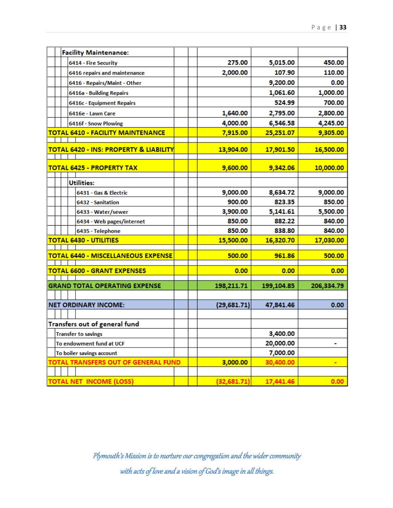|  | <b>Facility Maintenance:</b>                      |             |            |            |
|--|---------------------------------------------------|-------------|------------|------------|
|  | 6414 - Fire Security                              | 275.00      | 5,015.00   | 450.00     |
|  | 6416 repairs and maintenance                      | 2,000.00    | 107.90     | 110.00     |
|  | 6416 - Repairs/Maint - Other                      |             | 9,200.00   | 0.00       |
|  | 6416a - Building Repairs                          |             | 1,061.60   | 1,000.00   |
|  | 6416c - Equipment Repairs                         |             | 524.99     | 700.00     |
|  | 6416e - Lawn Care                                 | 1,640.00    | 2,795.00   | 2,800.00   |
|  | 6416f - Snow Plowing                              | 4,000.00    | 6,546.58   | 4,245.00   |
|  | <b>TOTAL 6410 - FACILITY MAINTENANCE</b>          | 7,915.00    | 25,251.07  | 9,305.00   |
|  |                                                   |             |            |            |
|  | <b>TOTAL 6420 - INS: PROPERTY &amp; LIABILITY</b> | 13,904.00   | 17,901.50  | 16,500.00  |
|  | <b>TOTAL 6425 - PROPERTY TAX</b>                  | 9,600.00    | 9,342.06   | 10,000.00  |
|  | <b>Utilities:</b>                                 |             |            |            |
|  | 6431 - Gas & Electric                             | 9,000.00    | 8,634.72   | 9,000.00   |
|  | 6432 - Sanitation                                 | 900.00      | 823.35     | 850.00     |
|  | 6433 - Water/sewer                                | 3,900.00    | 5,141.61   | 5,500.00   |
|  | 6434 - Web pages/internet                         | 850.00      | 882.22     | 840.00     |
|  | 6435 - Telephone                                  | 850.00      | 838.80     | 840.00     |
|  | <b>TOTAL 6430 - UTILITIES</b>                     | 15,500.00   | 16,320.70  | 17,030.00  |
|  |                                                   |             |            |            |
|  | <b>TOTAL 6440 - MISCELLANEOUS EXPENSE</b>         | 500.00      | 961.86     | 500.00     |
|  | <b>TOTAL 6600 - GRANT EXPENSES</b>                | 0.00        | 0.00       | 0.00       |
|  |                                                   |             |            |            |
|  | <b>GRAND TOTAL OPERATING EXPENSE</b>              | 198,211.71  | 199,104.85 | 206,334.79 |
|  | <b>NET ORDINARY INCOME:</b>                       | (29,681.71) | 47,841.46  | 0.00       |
|  |                                                   |             |            |            |
|  | Transfers out of general fund                     |             |            |            |
|  | <b>Transfer to savings</b>                        |             | 3,400.00   |            |
|  | To endowment fund at UCF                          |             | 20,000.00  | ۰          |
|  | To boiler savings account                         |             | 7,000.00   |            |
|  | <b>TOTAL TRANSFERS OUT OF GENERAL FUND</b>        | 3,000.00    | 30,400.00  |            |
|  |                                                   |             |            |            |
|  | <b>TOTAL NET INCOME (LOSS)</b>                    | (32,681.71) | 17,441.46  | 0.00       |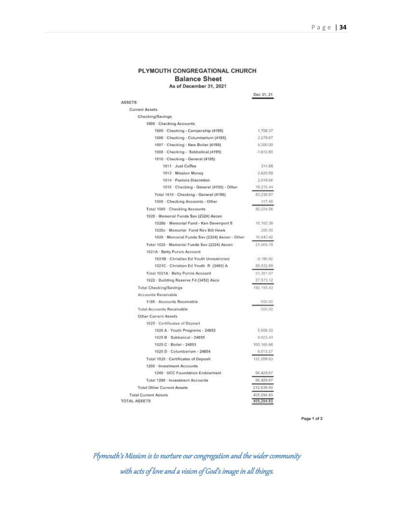#### PLYMOUTH CONGREGATIONAL CHURCH **Balance Sheet** As of December 31, 2021

| ASSETS                                                     | Dec 31, 21               |
|------------------------------------------------------------|--------------------------|
| <b>Current Assets</b>                                      |                          |
| Checking/Savings                                           |                          |
| 1000 Checking Accounts                                     |                          |
| 1005 Checking - Campership (4195)                          | 1,709.37                 |
| 1006 - Checking - Columbarium (4195)                       | 3.279.67                 |
| 1007 · Checking - New Boiler (4195)                        | 5,300.00                 |
| 1008 Checking - Sabbatical (4195)                          | $-1.612.80$              |
| 1010 - Checking - General (4195)                           |                          |
| 1011 Just Coffee                                           | 314.88                   |
| 1012 Mission Money                                         | 2,620.89                 |
| 1014 - Pastors Discretion                                  | 2.019.66                 |
| 1010 Checking - General (4195) - Other                     | 78.275.44                |
| Total 1010 - Checking - General (4195)                     | 83,230.87                |
| 1000 - Checking Accounts - Other                           | 317:45                   |
| Total 1000 - Checking Accounts                             | 92,224.56                |
| 1020 · Momorial Funds Sav (2324) Ascen                     |                          |
| 1020b - Memorial Fund - Ken Davenport E                    | 10,162.36                |
| 1020c - Mamorial Fund Rev Bill Hawk                        | 200.DO                   |
| 1020 - Memorial Funds Sav (2324) Ascen - Other             | 10,643.42                |
| Total 1020 - Memorial Funds Sav (2324) Ascen               | 21,005.78                |
| 1021A - Betty Purvis Account                               |                          |
| 1021B · Christian Ed Youth Unrestricted                    | $-9,180.92$              |
| 1021C · Christian Ed Youth R (3460) A                      | 60,532.89                |
| Total 1021A · Betty Purvis Account                         | 51,351.07                |
| 1022 · Building Reserve Fd (3452) Asce                     | 27.573.12                |
| Total Checking/Savings                                     | 192.155.43               |
| Accounts Receivable                                        |                          |
| 1100 Accounts Receivable                                   | 500,00                   |
| Total Accounts Receivable                                  | 500.00                   |
|                                                            |                          |
| Other Current Assets                                       |                          |
| 1025 - Certificates of Deposit                             |                          |
| 1025 A Youth Programs - 24852<br>1025 B Sabbatical - 24855 | 5.008.30                 |
|                                                            | 9.022.40                 |
| 1025 C · Boiler - 24853                                    | 100,165.86               |
| 1025 D · Columbarium - 24854                               | 8,013.27                 |
| Total 1025 - Certificates of Deposit                       | 122,209.83               |
| 1200 - Investment Accounts                                 |                          |
| 1245 - UCC Foundation Endowment                            | 90.429.67                |
| Total 1200 - Investment Accounts                           | 90,429.67                |
| <b>Total Other Current Assets</b>                          | 212.639.50               |
| <b>Total Current Assets</b><br>TOTAL ASSETS                | 405,294.93<br>405,294.93 |

Page 1 of 2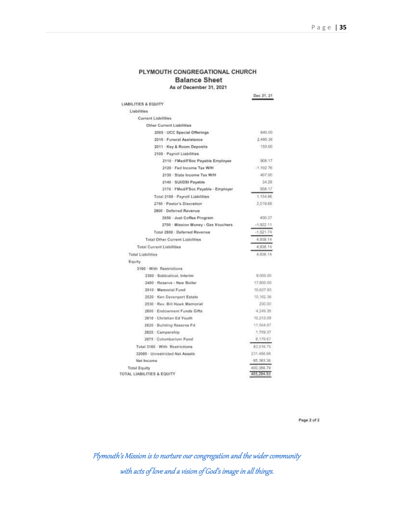#### PLYMOUTH CONGREGATIONAL CHURCH **Balance Sheet** As of December 31, 2021

Dec 31, 21 LIABILITIES & EQUITY Liabilities **Current Liabilities** Other Current Liabilities 640.00 2005 - UCC Special Offerings 2010 · Funeral Assistance 2,495.36 2011 - Key & Room Deposits 150.00 2100 - Payroll Liabilities 2110 - FMed/FSoc Payable Employee 908.17 2120 - Fed Income Tax W/H  $-1.102.76$ 2130 - State Income Tax W/H 407.00 2140 - SUUDSI Payable 34.28 908.17 2170 · FMed/FSoc Payable - Employer Total 2100 - Payroll Liabilities 1,154.86 2,019.66 2750 · Pastor's Discretion 2800 - Deferred Revenue 400.37 2650 - Just Coffee Program 2700 Mission Money - Gas Vouchers  $-1,922.11$ Total 2800 - Deferred Revenue  $-1,521.74$ 4.938.14 **Total Other Current Liabilities** 4,938.14 **Total Current Liabilities** 4,938.14 **Total Liabilities** Equity 3160 With Restrictions 2300 - Sabbiatical, Interim 9,000.00 2400 - Roserve - New Boller 17:600:00 2510 Memorial Fund 10,637.93 2520 - Ken Davenport Estate 10,162.36 200.00 2530 · Rev. Bill Hawk Memorial 2600 · Endowment Funds Gifts 4,249.36 2610 - Christian Ed Youth 10,213.09 2620 - Building Reserve Fd 11,564.97 1,709.37 2625 - Campership 2675 - Columbarium Fund 8,179.67 Total 3160 - With Restrictions 83,516.75 32000 · Unrestricted Net Assets 231.456.68 Net Income 85.383.36 **Total Equity** 400,356.79 405,294.93 TOTAL LIABILITIES & EQUITY

Page 2 of 2